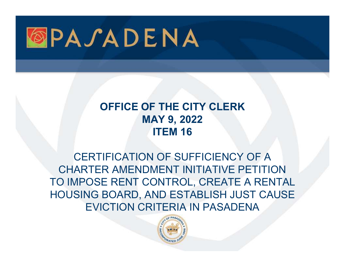

### OFFICE OF THE CITY CLERK MAY 9, 2022 ITEM 16

CERTIFICATION OF SUFFICIENCY OF A CHARTER AMENDMENT INITIATIVE PETITION TO IMPOSE RENT CONTROL, CREATE A RENTAL HOUSING BOARD, AND ESTABLISH JUST CAUSE EVICTION CRITERIA IN PASADENA

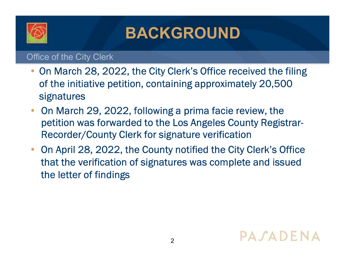

## BACKGROUND

Office of the City Clerk

- On March 28, 2022, the City Clerk's Office received the filing of the initiative petition, containing approximately 20,500 signatures
- On March 29, 2022, following a prima facie review, the petition was forwarded to the Los Angeles County Registrar-Recorder/County Clerk for signature verification
- On April 28, 2022, the County notified the City Clerk's Office that the verification of signatures was complete and issued the letter of findings

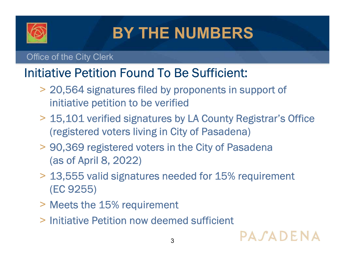

# BY THE NUMBERS

#### Office of the City Clerk

## Initiative Petition Found To Be Sufficient:

- > 20,564 signatures filed by proponents in support of initiative petition to be verified
- > 15,101 verified signatures by LA County Registrar's Office (registered voters living in City of Pasadena)
- > 90,369 registered voters in the City of Pasadena (as of April 8, 2022)
- > 13,555 valid signatures needed for 15% requirement (EC 9255)
- > Meets the 15% requirement
- > Initiative Petition now deemed sufficient

 $3 \qquad \qquad \blacksquare$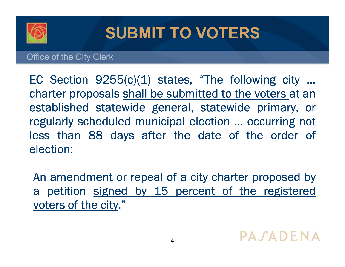

## SUBMIT TO VOTERS

#### Office of the City Clerk

SUBMIT TO VOTERS<br>
Difice of the City Clerk<br>
EC Section 9255(c)(1) states, "The following city ...<br>
charter proposals shall be submitted to the voters at an<br>
established statewide general. statewide primary. or SUBMIT TO VOTERS<br>
Difice of the City Clerk<br>
EC Section 9255(c)(1) states, "The following city ...<br>
charter proposals shall be submitted to the voters at an<br>
established statewide general, statewide primary, or<br>
regularly s SUBMIT TO VOTERS<br>Diffice of the City Clerk<br>EC Section 9255(c)(1) states, "The following city ...<br>charter proposals shall be submitted to the voters at an<br>established statewide general, statewide primary, or<br>regularly sched SUBMIT TO VOTERS<br>Diffice of the City Clerk<br>EC Section 9255(c)(1) states, "The following city ...<br>charter proposals shall be submitted to the voters at an<br>established statewide general, statewide primary, or<br>regularly sched **SUBMIT TO VOTERS**<br>Diffice of the City Clerk<br>EC Section 9255(c)(1) states, "The following city ...<br>charter proposals shall be submitted to the voters at an<br>established statewide general, statewide primary, or<br>regularly sch election: EC Section 9255(c)(1) states, "The following city ...<br>
sharter proposals shall be submitted to the voters at an<br>
stablished statewide general, statewide primary, or<br>
egularly scheduled municipal election ... occurring not Ec section  $9255(c)(1)$  states, the following city ...<br>tharter proposals shall be submitted to the voters at an<br>established statewide general, statewide primary, or<br>egularly scheduled municipal election ... occurring not<br>es Friarter proposals shall be subfilted to the<br>established statewide general, statewid<br>egularly scheduled municipal election ...<br>ess than 88 days after the date of<br>election:<br>An amendment or repeal of a city charte<br>a petition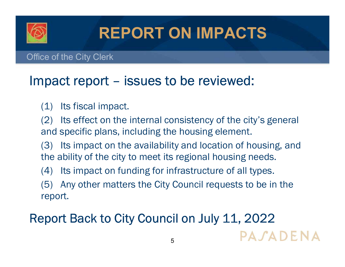

# REPORT ON IMPACTS

Office of the City Clerk

# **IMPACTS**<br>
Impact report – issues to be reviewed:<br>
(1) Its fiscal impact.

- 
- **EPORT ON II**<br>
Ce of the City Clerk<br> **inpact report issues to be r**<br>
(1) Its fiscal impact.<br>
(2) Its effect on the internal consister<br>
and specific plans, including the housing (2) Its effect on the internal consistency of the city's general and specific plans, including the housing element.
- (3) Its impact on the availability and location of housing, and the ability of the city to meet its regional housing needs.
- (4) Its impact on funding for infrastructure of all types.
- (5) Any other matters the City Council requests to be in the report.

## Report Back to City Council on July 11, 2022